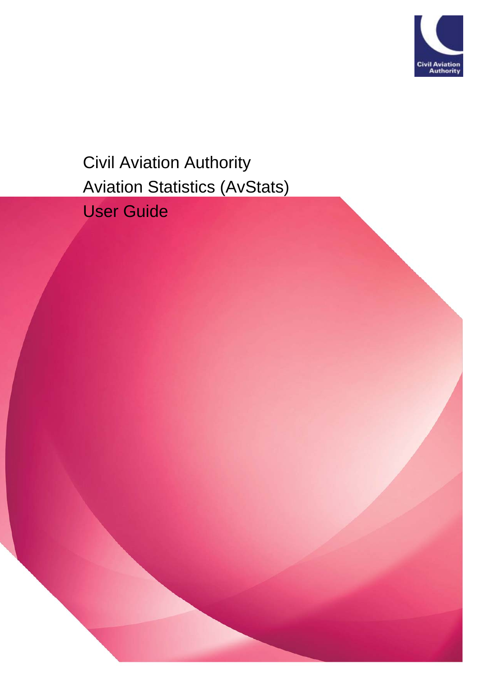

Civil Aviation Authority Aviation Statistics (AvStats) User Guide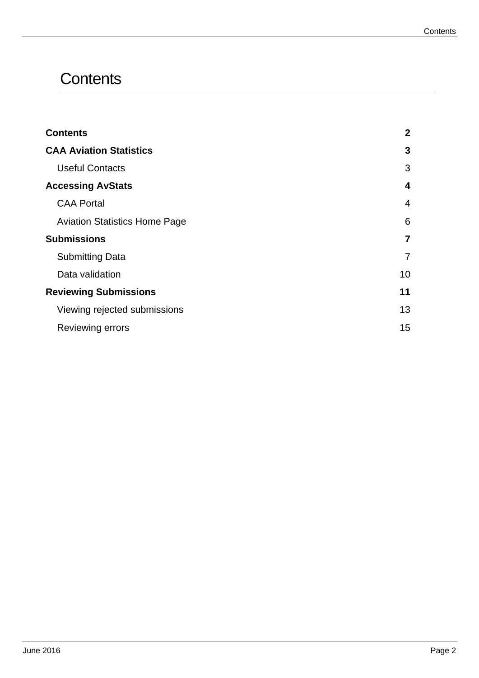## **Contents**

| <b>Contents</b>                      | 2  |
|--------------------------------------|----|
| <b>CAA Aviation Statistics</b>       | 3  |
| <b>Useful Contacts</b>               | 3  |
| <b>Accessing AvStats</b>             | 4  |
| <b>CAA Portal</b>                    | 4  |
| <b>Aviation Statistics Home Page</b> | 6  |
| <b>Submissions</b>                   | 7  |
| <b>Submitting Data</b>               |    |
| Data validation                      | 10 |
| <b>Reviewing Submissions</b>         | 11 |
| Viewing rejected submissions         | 13 |
| Reviewing errors                     | 15 |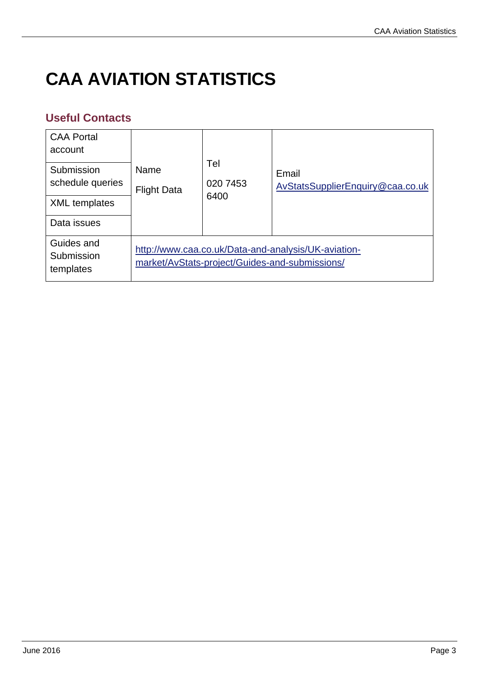# **CAA AVIATION STATISTICS**

## **Useful Contacts**

| <b>CAA Portal</b><br>account<br>Submission<br>schedule queries<br><b>XML</b> templates<br>Data issues | Name<br><b>Flight Data</b> | Tel<br>020 7453<br>6400 | Email<br>AvStatsSupplierEnquiry@caa.co.uk                                                             |
|-------------------------------------------------------------------------------------------------------|----------------------------|-------------------------|-------------------------------------------------------------------------------------------------------|
| Guides and<br>Submission<br>templates                                                                 |                            |                         | http://www.caa.co.uk/Data-and-analysis/UK-aviation-<br>market/AvStats-project/Guides-and-submissions/ |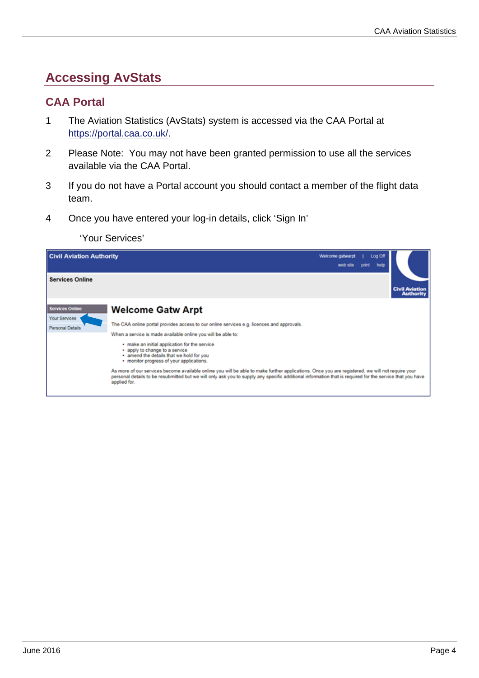## **Accessing AvStats**

#### **CAA Portal**

- 1 The Aviation Statistics (AvStats) system is accessed via the CAA Portal at https://portal.caa.co.uk/.
- 2 Please Note: You may not have been granted permission to use all the services available via the CAA Portal.
- 3 If you do not have a Portal account you should contact a member of the flight data team.
- 4 Once you have entered your log-in details, click 'Sign In'

'Your Services'

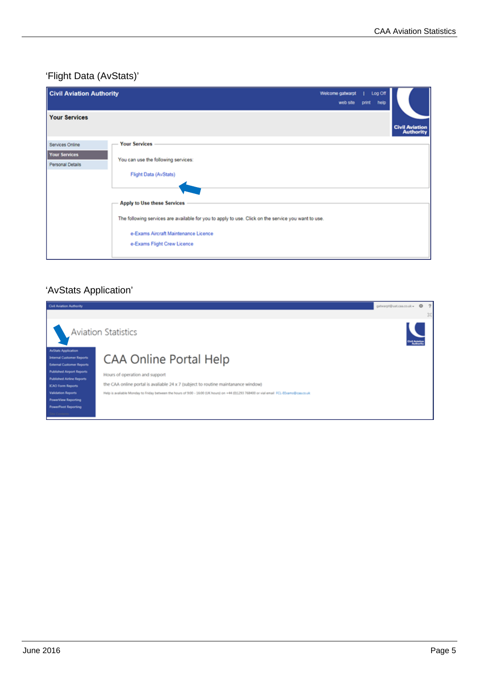### 'Flight Data (AvStats)'

| <b>Civil Aviation Authority</b>                             |                                                                                                                                                                            | Welcome gatwarpt<br>web site | Log Off<br>help<br>print |                                           |
|-------------------------------------------------------------|----------------------------------------------------------------------------------------------------------------------------------------------------------------------------|------------------------------|--------------------------|-------------------------------------------|
| <b>Your Services</b>                                        |                                                                                                                                                                            |                              |                          | <b>Civil Aviation</b><br><b>Authority</b> |
| Services Online<br><b>Your Services</b><br>Personal Details | <b>Your Services</b><br>You can use the following services:<br>Flight Data (AvStats)<br>Apply to Use these Services                                                        |                              |                          |                                           |
|                                                             | The following services are available for you to apply to use. Click on the service you want to use.<br>e-Exams Aircraft Maintenance Licence<br>e-Exams Flight Crew Licence |                              |                          |                                           |

## 'AvStats Application'

| Civil Aviation Authority                                                                           |                                                                                                                                          | gatwarpt@uat.caa.co.uk = © ? |  |
|----------------------------------------------------------------------------------------------------|------------------------------------------------------------------------------------------------------------------------------------------|------------------------------|--|
|                                                                                                    |                                                                                                                                          |                              |  |
|                                                                                                    | <b>Aviation Statistics</b>                                                                                                               |                              |  |
| <b>AuStats Application</b><br><b>Internal Customer Reports</b><br><b>External Customer Reports</b> | CAA Online Portal Help                                                                                                                   |                              |  |
| <b>Published Airport Reports</b><br><b>Published Airline Reports</b>                               | Hours of operation and support                                                                                                           |                              |  |
| <b>ICAO Form Reports</b>                                                                           | the CAA online portal is avaliable 24 x 7 (subject to routine maintanance window)                                                        |                              |  |
| <b>Validation Reports</b>                                                                          | Help is available Monday to Friday between the hours of 9:00 - 16:00 (UK hours) on +44 (0)1293 768400 or vial email FCL-EExams@caa.co.uk |                              |  |
| <b>PowerView Reporting</b>                                                                         |                                                                                                                                          |                              |  |
| <b>PowerPlust Reporting</b>                                                                        |                                                                                                                                          |                              |  |
| Site Contents                                                                                      |                                                                                                                                          |                              |  |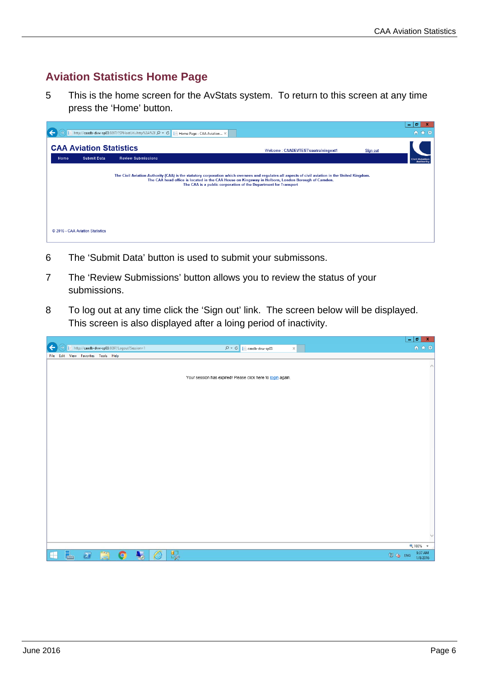## **Aviation Statistics Home Page**

5 This is the home screen for the AvStats system. To return to this screen at any time press the 'Home' button.

|      |                                  | Vcaadb-dvw-sp03:8097/?SPHostUrl=http%3A%2FQ - C<br>Home Page - CAA Aviation X                                                                     |                                                                                                                                                                      |          | l o<br>۰<br>← ★ 戀                  |
|------|----------------------------------|---------------------------------------------------------------------------------------------------------------------------------------------------|----------------------------------------------------------------------------------------------------------------------------------------------------------------------|----------|------------------------------------|
|      | <b>CAA Aviation Statistics</b>   |                                                                                                                                                   | Welcome: CAADEVTEST\caatrainingext1                                                                                                                                  | Sign out |                                    |
| Home | <b>Submit Data</b>               | <b>Review Submissions</b>                                                                                                                         |                                                                                                                                                                      |          | <b>Civil Aviation</b><br>Authority |
|      | C 2016 - CAA Aviation Statistics | The Civil Aviation Authority (CAA) is the statutory corporation which oversees and regulates all aspects of civil aviation in the United Kingdom. | The CAA head office is located in the CAA House on Kingsway in Holborn, London Borough of Camden.<br>The CAA is a public corporation of the Department for Transport |          |                                    |

- 6 The 'Submit Data' button is used to submit your submissons.
- 7 The 'Review Submissions' button allows you to review the status of your submissions.
- 8 To log out at any time click the 'Sign out' link. The screen below will be displayed. This screen is also displayed after a loing period of inactivity.

|                                                             |                                                                         | $ \sigma$ x                     |
|-------------------------------------------------------------|-------------------------------------------------------------------------|---------------------------------|
| $\leftarrow$<br>http://caadb-dvw-sp03:8097/Logout?Session=1 | $\overline{Q}$ $\overline{C}$ $\overline{C}$ caadb-dvw-sp03<br>$\times$ | 命 ☆ ※                           |
| File Edit View Favorites Tools Help                         |                                                                         |                                 |
|                                                             |                                                                         | $\curvearrowright$              |
|                                                             |                                                                         |                                 |
|                                                             | Your session has expired! Please click here to login again.             |                                 |
|                                                             |                                                                         |                                 |
|                                                             |                                                                         |                                 |
|                                                             |                                                                         |                                 |
|                                                             |                                                                         |                                 |
|                                                             |                                                                         |                                 |
|                                                             |                                                                         |                                 |
|                                                             |                                                                         |                                 |
|                                                             |                                                                         |                                 |
|                                                             |                                                                         |                                 |
|                                                             |                                                                         |                                 |
|                                                             |                                                                         |                                 |
|                                                             |                                                                         |                                 |
|                                                             |                                                                         |                                 |
|                                                             |                                                                         |                                 |
|                                                             |                                                                         |                                 |
|                                                             |                                                                         |                                 |
|                                                             |                                                                         |                                 |
|                                                             |                                                                         |                                 |
|                                                             |                                                                         |                                 |
|                                                             |                                                                         | € 100% ▼                        |
| $\mathbf{H}$<br>$\boxed{\color{red}2}$<br>Q                 | $\circledB$                                                             | 9:37 AM<br>图 (g ENG<br>1/8/2016 |
| H<br>$\overline{\phantom{a}}$<br><b>A</b> <sub>c</sub> o    | 噪                                                                       |                                 |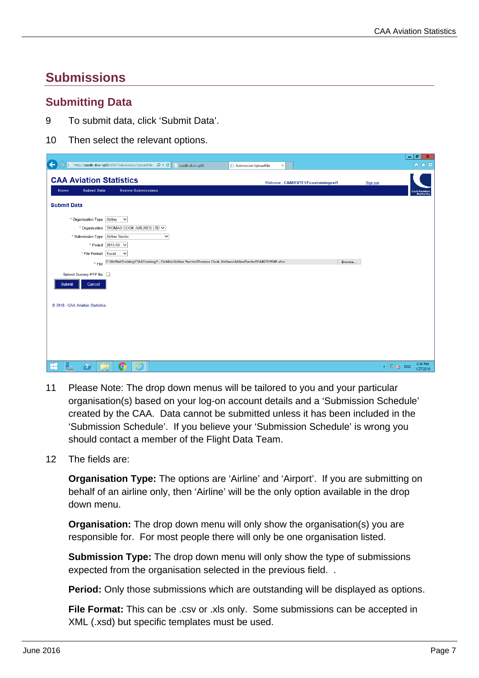## **Submissions**

#### **Submitting Data**

- 9 To submit data, click 'Submit Data'.
- 10 Then select the relevant options.

|                                                                                                                              | $-1$ $-1$ $-1$                                     |
|------------------------------------------------------------------------------------------------------------------------------|----------------------------------------------------|
| ←<br>http://caadb-dvw-sp03:8097/Submission/UploadFile $\rho \cdot c$     caadb-dvw-sp03<br>Submission UploadFile<br>$\times$ | 命女祭                                                |
| <b>CAA Aviation Statistics</b><br>Welcome: CAADEVTE ST\caatrainingext1                                                       | Sign out                                           |
| <b>Submit Data</b><br><b>Review Submissions</b><br>Home                                                                      | <b>Civil Aviation</b><br><b>Authority</b>          |
| <b>Submit Data</b>                                                                                                           |                                                    |
| * Organisation Type Airline<br>$\checkmark$                                                                                  |                                                    |
| * Organisation THOMAS COOK AIRLINES LTD V                                                                                    |                                                    |
| * Submission Type Airline Sector<br>$\checkmark$                                                                             |                                                    |
| * Period 2015-08 V                                                                                                           |                                                    |
| * File Format Excel<br>$\checkmark$                                                                                          |                                                    |
| Tile C:\AvStatTraining\CAATraining2 - Debbie\Airline Sector\Thomas Cook Airlines\AirlineSector00446201508 xlsx<br>Browse     |                                                    |
| Submit Dummy PTP file                                                                                                        |                                                    |
| Cancel<br>Submit                                                                                                             |                                                    |
| C 2016 - CAA Aviation Statistics                                                                                             |                                                    |
|                                                                                                                              |                                                    |
|                                                                                                                              |                                                    |
|                                                                                                                              |                                                    |
|                                                                                                                              |                                                    |
|                                                                                                                              |                                                    |
|                                                                                                                              |                                                    |
| €<br>⊞<br>$\blacktriangleright$<br>r I<br>$\bullet$                                                                          | 6:36 PM<br>$\triangle$ $\Box$ (b) ENG<br>1/27/2016 |

- 11 Please Note: The drop down menus will be tailored to you and your particular organisation(s) based on your log-on account details and a 'Submission Schedule' created by the CAA. Data cannot be submitted unless it has been included in the 'Submission Schedule'. If you believe your 'Submission Schedule' is wrong you should contact a member of the Flight Data Team.
- 12 The fields are:

**Organisation Type:** The options are 'Airline' and 'Airport'. If you are submitting on behalf of an airline only, then 'Airline' will be the only option available in the drop down menu.

**Organisation:** The drop down menu will only show the organisation(s) you are responsible for. For most people there will only be one organisation listed.

**Submission Type:** The drop down menu will only show the type of submissions expected from the organisation selected in the previous field...

**Period:** Only those submissions which are outstanding will be displayed as options.

**File Format:** This can be .csv or .xls only. Some submissions can be accepted in XML (.xsd) but specific templates must be used.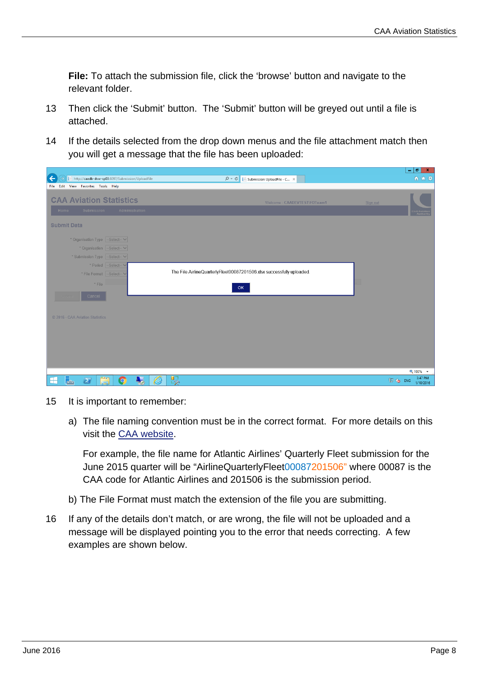**File:** To attach the submission file, click the 'browse' button and navigate to the relevant folder.

- 13 Then click the 'Submit' button. The 'Submit' button will be greyed out until a file is attached.
- 14 If the details selected from the drop down menus and the file attachment match then you will get a message that the file has been uploaded:

|                                                                  |                                                                       | $\begin{array}{c c c c c} \hline \textbf{--} & \textbf{--} & \textbf{--} \end{array}$ |
|------------------------------------------------------------------|-----------------------------------------------------------------------|---------------------------------------------------------------------------------------|
| $\leftarrow$<br>http://caadb-dvw-sp03:8097/Submission/UploadFile | $Q - d$<br>Submission UploadFile - C X<br>巨                           | 命 ☆ 袋                                                                                 |
| File Edit View Favorites Tools Help                              |                                                                       |                                                                                       |
|                                                                  |                                                                       |                                                                                       |
| <b>CAA Aviation Statistics</b>                                   | Welcome: CAADEVTEST\FDTeam1                                           | Sign out                                                                              |
| Submission<br>Administration<br>Home                             |                                                                       |                                                                                       |
|                                                                  |                                                                       | vil Aviati<br>Author                                                                  |
| <b>Submit Data</b>                                               |                                                                       |                                                                                       |
|                                                                  |                                                                       |                                                                                       |
| * Organisation Type -Select- V                                   |                                                                       |                                                                                       |
| * Organisation -Select- V                                        |                                                                       |                                                                                       |
| * Submission Type -Select- V                                     |                                                                       |                                                                                       |
|                                                                  |                                                                       |                                                                                       |
| * Period -Select- V                                              | The File AirlineQuarterlyFleet00087201506.xlsx successfully uploaded. |                                                                                       |
| * File Format -Select- V                                         |                                                                       |                                                                                       |
| * File                                                           |                                                                       | ▊                                                                                     |
|                                                                  | OK                                                                    |                                                                                       |
| Cancel                                                           |                                                                       |                                                                                       |
|                                                                  |                                                                       |                                                                                       |
| © 2016 - CAA Aviation Statistics                                 |                                                                       |                                                                                       |
|                                                                  |                                                                       |                                                                                       |
|                                                                  |                                                                       |                                                                                       |
|                                                                  |                                                                       |                                                                                       |
|                                                                  |                                                                       |                                                                                       |
|                                                                  |                                                                       |                                                                                       |
|                                                                  |                                                                       |                                                                                       |
|                                                                  |                                                                       |                                                                                       |
|                                                                  |                                                                       | 电 100% →<br>3:47 PM                                                                   |
| Ġ<br>$\boxed{2}$<br>8<br>╔╤╜<br>Q<br>e<br>$\frac{1}{\sqrt{2}}$   | $\mathbb{R}^1$                                                        | 图 (g ENG<br>1/10/2016                                                                 |

- 15 It is important to remember:
	- a) The file naming convention must be in the correct format. For more details on this visit the CAA website.

For example, the file name for Atlantic Airlines' Quarterly Fleet submission for the June 2015 quarter will be "AirlineQuarterlyFleet00087201506" where 00087 is the CAA code for Atlantic Airlines and 201506 is the submission period.

- b) The File Format must match the extension of the file you are submitting.
- 16 If any of the details don't match, or are wrong, the file will not be uploaded and a message will be displayed pointing you to the error that needs correcting. A few examples are shown below.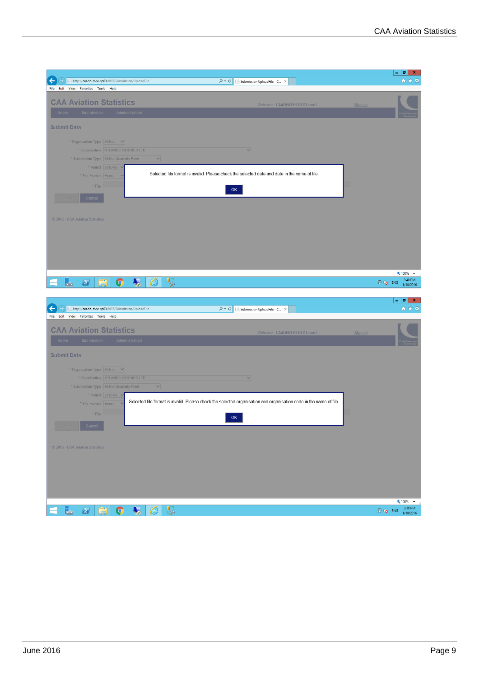|                                                                              |                                                                                                                    | $ - 0  \times$                            |
|------------------------------------------------------------------------------|--------------------------------------------------------------------------------------------------------------------|-------------------------------------------|
| ←<br>→)     http://caadb-dvw-sp03:8097/Submission/UploadFile                 | $\rho \cdot c$<br>Submission UploadFile - C X                                                                      | 命女母                                       |
| File Edit View Favorites Tools Help                                          |                                                                                                                    |                                           |
|                                                                              |                                                                                                                    |                                           |
| <b>CAA Aviation Statistics</b>                                               | Welcome: CAADEVTEST\FDTeam1                                                                                        | Sign out                                  |
| Administration<br>Submission<br>Home                                         |                                                                                                                    |                                           |
|                                                                              |                                                                                                                    |                                           |
| <b>Submit Data</b>                                                           |                                                                                                                    |                                           |
|                                                                              |                                                                                                                    |                                           |
| * Organisation Type Airline $\vee$                                           |                                                                                                                    |                                           |
|                                                                              | $\vee$                                                                                                             |                                           |
| * Organisation   ATLANTIC AIRLINES LTD                                       |                                                                                                                    |                                           |
| * Submission Type Airline Quarterly Fleet                                    | $\vee$                                                                                                             |                                           |
| * Period 2015-06 V                                                           |                                                                                                                    |                                           |
| * File Format Excel                                                          | Selected file format is invalid. Please check the selected date and date in the name of file.                      |                                           |
|                                                                              |                                                                                                                    |                                           |
| $*$ File                                                                     | OK                                                                                                                 |                                           |
| Cancel                                                                       |                                                                                                                    |                                           |
|                                                                              |                                                                                                                    |                                           |
|                                                                              |                                                                                                                    |                                           |
| © 2016 - CAA Aviation Statistics                                             |                                                                                                                    |                                           |
|                                                                              |                                                                                                                    |                                           |
|                                                                              |                                                                                                                    |                                           |
|                                                                              |                                                                                                                    |                                           |
|                                                                              |                                                                                                                    |                                           |
|                                                                              |                                                                                                                    |                                           |
|                                                                              |                                                                                                                    |                                           |
|                                                                              |                                                                                                                    |                                           |
|                                                                              |                                                                                                                    | $9,100%$ $\rightarrow$                    |
| Ě<br>马<br>⊫<br>$\sum$<br>G<br>╫                                              | $\mathbb{R}$<br>e                                                                                                  | 3:40 PM<br>图 (b ENG<br>1/10/2016          |
|                                                                              |                                                                                                                    |                                           |
|                                                                              |                                                                                                                    |                                           |
|                                                                              |                                                                                                                    |                                           |
|                                                                              |                                                                                                                    | $-10$<br>×                                |
| ←<br>$\Rightarrow$<br>      http://caadb-dvw-sp03:8097/Submission/UploadFile | $\mathcal{P} \times \mathcal{C}$   Submission UploadFile - C $\times$                                              | 命女郎                                       |
| File Edit View Favorites Tools Help                                          |                                                                                                                    |                                           |
|                                                                              |                                                                                                                    |                                           |
| <b>CAA Aviation Statistics</b>                                               | Welcome: CAADEVTEST\FDTeam1                                                                                        | Sign out                                  |
| Home<br>Submission<br>Administration                                         |                                                                                                                    |                                           |
|                                                                              |                                                                                                                    |                                           |
| <b>Submit Data</b>                                                           |                                                                                                                    |                                           |
|                                                                              |                                                                                                                    |                                           |
| * Organisation Type Airline $\vee$                                           |                                                                                                                    |                                           |
|                                                                              | $\checkmark$                                                                                                       |                                           |
| * Organisation   ATLANTIC AIRLINES LTD                                       |                                                                                                                    |                                           |
| * Submission Type   Airline Quarterly Fleet                                  | $\checkmark$                                                                                                       |                                           |
| * Period 2015-06 $\vee$                                                      |                                                                                                                    |                                           |
| * File Format Excel                                                          | Selected file format is invalid. Please check the selected organisation and organisation code in the name of file. |                                           |
| $*$ File                                                                     |                                                                                                                    |                                           |
|                                                                              | OK                                                                                                                 |                                           |
| Cancel                                                                       |                                                                                                                    |                                           |
|                                                                              |                                                                                                                    |                                           |
|                                                                              |                                                                                                                    |                                           |
| © 2016 - CAA Aviation Statistics                                             |                                                                                                                    |                                           |
|                                                                              |                                                                                                                    |                                           |
|                                                                              |                                                                                                                    |                                           |
|                                                                              |                                                                                                                    |                                           |
|                                                                              |                                                                                                                    |                                           |
|                                                                              |                                                                                                                    |                                           |
|                                                                              |                                                                                                                    |                                           |
|                                                                              |                                                                                                                    |                                           |
| ă<br> 己<br>$\blacksquare$<br>$\bullet$<br>H<br>$\mathbf{Z}$                  | $\mathbb{R}$<br>C                                                                                                  | 电 100% -<br>3:39 PM<br>$\circledR$ (b ENG |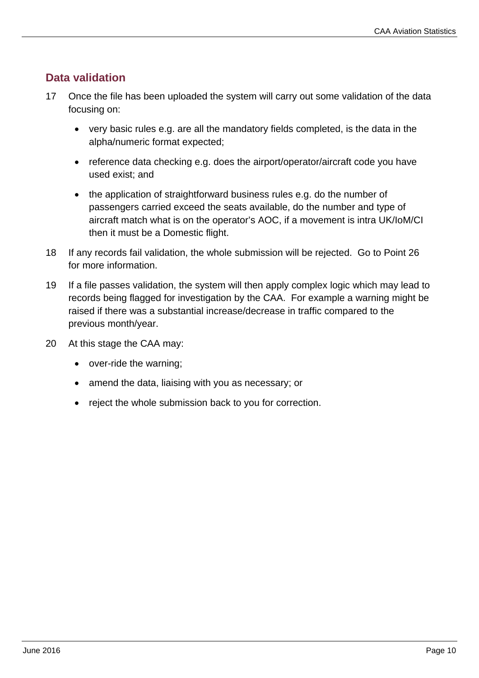### **Data validation**

- 17 Once the file has been uploaded the system will carry out some validation of the data focusing on:
	- very basic rules e.g. are all the mandatory fields completed, is the data in the alpha/numeric format expected;
	- reference data checking e.g. does the airport/operator/aircraft code you have used exist; and
	- the application of straightforward business rules e.g. do the number of passengers carried exceed the seats available, do the number and type of aircraft match what is on the operator's AOC, if a movement is intra UK/IoM/CI then it must be a Domestic flight.
- 18 If any records fail validation, the whole submission will be rejected. Go to Point 26 for more information.
- 19 If a file passes validation, the system will then apply complex logic which may lead to records being flagged for investigation by the CAA. For example a warning might be raised if there was a substantial increase/decrease in traffic compared to the previous month/year.
- 20 At this stage the CAA may:
	- over-ride the warning;
	- amend the data, liaising with you as necessary; or
	- reject the whole submission back to you for correction.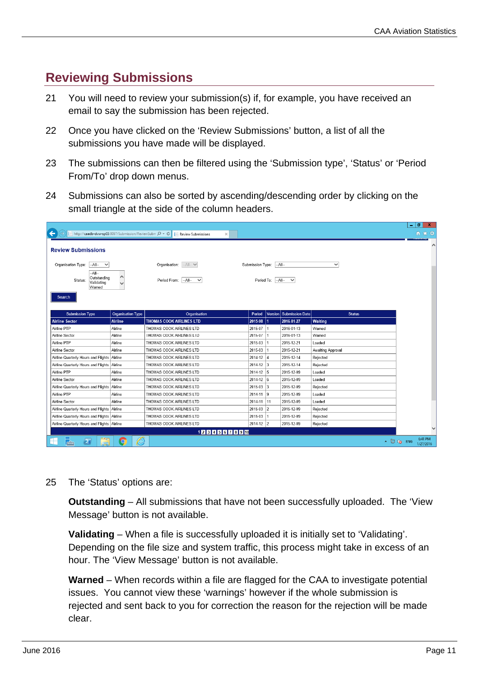## **Reviewing Submissions**

- 21 You will need to review your submission(s) if, for example, you have received an email to say the submission has been rejected.
- 22 Once you have clicked on the 'Review Submissions' button, a list of all the submissions you have made will be displayed.
- 23 The submissions can then be filtered using the 'Submission type', 'Status' or 'Period From/To' drop down menus.
- 24 Submissions can also be sorted by ascending/descending order by clicking on the small triangle at the side of the column headers.

|                                                                        |                          |                                      |                  |          |                          |                   | o<br>$\mathbf{x}$<br>÷            |
|------------------------------------------------------------------------|--------------------------|--------------------------------------|------------------|----------|--------------------------|-------------------|-----------------------------------|
| $\leftarrow$<br>http://caadb-dvw-sp03:8097/Submission/ReviewSubm Q - C |                          | Review Submissions<br>$\times$       |                  |          |                          |                   | ← ★ 發                             |
| <b>Review Submissions</b>                                              |                          |                                      |                  |          |                          |                   |                                   |
| Organisation Type:<br>$-A$ ll- $V$                                     |                          | Organisation: $-AII - \vee$          | Submission Type: |          | $-$ All--                | $\checkmark$      |                                   |
| $-AII-$<br>Outstanding<br>Status:<br>Validating<br>Warned              | $\hat{}$<br>$\checkmark$ | Period From: - All--<br>$\checkmark$ |                  |          | Period To: $ -A  - \vee$ |                   |                                   |
| Search<br><b>Submission Type</b>                                       | <b>Organisation Type</b> | Organisation                         | Period           | Version  | <b>Submission Date</b>   | <b>Status</b>     |                                   |
| <b>Airline Sector</b>                                                  | <b>Airline</b>           | <b>THOMAS COOK AIRLINES LTD</b>      | 2015-08          |          | 2016-01-27               | Waiting           |                                   |
| Airline PTP                                                            | Airline                  | THOMAS COOK AIRLINES LTD             | 2015-07          |          | 2016-01-13               | Warned            |                                   |
| Airline Sector                                                         | Airline                  | <b>I HOMAS COOK AIRLINES LID</b>     | 2015-07          | 1        | 2016-01-13               | Warned            |                                   |
| Airline PTP                                                            | Airline                  | THOMAS COOK AIRLINES LTD             | 2015-03          |          | 2015-12-21               | Loaded            |                                   |
| Airline Sector                                                         | Airline                  | THOMAS COOK AIRLINES LTD             | 2015-03          |          | 2015-12-21               | Awaiting Approval |                                   |
| Airline Quarterly Hours and Flights Airline                            |                          | THOMAS COOK AIRLINES LTD             | 2014-12          | $\Delta$ | 2015-12-14               | Rejected          |                                   |
| Airline Quarterly Hours and Flights                                    | Airline                  | THOMAS COOK AIRLINES LTD             | 2014-12 3        |          | 2015-12-14               | Rejected          |                                   |
| Airline PTP                                                            | Airline                  | THOMAS COOK AIRLINES LTD             | $2014-12$ 5      |          | 2015-12-09               | Loaded            |                                   |
| Airline Sector                                                         | Airline                  | THOMAS COOK AIRLINES LTD             | $2014 - 12$ 6    |          | 2015-12-09               | Loaded            |                                   |
| Airline Quarterly Hours and Flights                                    | Airline                  | THOMAS COOK AIRLINES LTD             | 2015-03 3        |          | 2015-12-09               | Rejected          |                                   |
| Airline PTP                                                            | Airline                  | THOMAS COOK AIRLINES LTD             | 2014-11 9        |          | 2015-12-09               | Loaded            |                                   |
| Airline Sector                                                         | Airline                  | THOMAS COOK AIRLINES LTD             | 2014-11 11       |          | 2015-12-09               | Loaded            |                                   |
| Airline Quarterly Hours and Flights Airline                            |                          | THOMAS COOK AIRLINES LTD             | 2015-03          | 2        | 2015-12-09               | Rejected          |                                   |
| Airline Quarterly Hours and Flights Airline                            |                          | THOMAS COOK AIRLINES LTD             | 2015-03          | 1        | 2015-12-09               | Rejected          |                                   |
| Airline Quarterly Hours and Flights Airline                            |                          | THOMAS COOK AIRLINES LTD             | 2014-12 2        |          | 2015-12-09               | Rejected          |                                   |
|                                                                        |                          | 1 2 3 4 5 6 7 8 9 10                 |                  |          |                          |                   |                                   |
| $\mathbf{z}$                                                           | ê<br>$\overline{O}$      |                                      |                  |          |                          |                   | 6:41 PM<br>▲ ■ ↓ ENG<br>1/27/2016 |

25 The 'Status' options are:

**Outstanding** – All submissions that have not been successfully uploaded. The 'View Message' button is not available.

**Validating** – When a file is successfully uploaded it is initially set to 'Validating'. Depending on the file size and system traffic, this process might take in excess of an hour. The 'View Message' button is not available.

**Warned** – When records within a file are flagged for the CAA to investigate potential issues. You cannot view these 'warnings' however if the whole submission is rejected and sent back to you for correction the reason for the rejection will be made clear.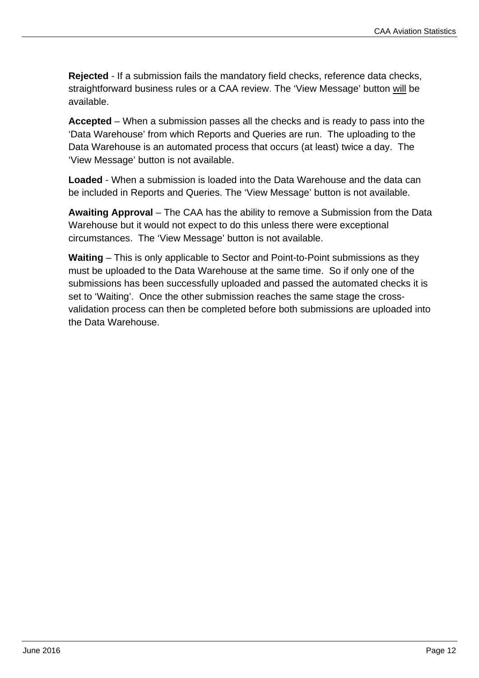**Rejected** - If a submission fails the mandatory field checks, reference data checks, straightforward business rules or a CAA review. The 'View Message' button will be available.

**Accepted** – When a submission passes all the checks and is ready to pass into the 'Data Warehouse' from which Reports and Queries are run. The uploading to the Data Warehouse is an automated process that occurs (at least) twice a day. The 'View Message' button is not available.

**Loaded** - When a submission is loaded into the Data Warehouse and the data can be included in Reports and Queries. The 'View Message' button is not available.

**Awaiting Approval** – The CAA has the ability to remove a Submission from the Data Warehouse but it would not expect to do this unless there were exceptional circumstances. The 'View Message' button is not available.

**Waiting** – This is only applicable to Sector and Point-to-Point submissions as they must be uploaded to the Data Warehouse at the same time. So if only one of the submissions has been successfully uploaded and passed the automated checks it is set to 'Waiting'. Once the other submission reaches the same stage the crossvalidation process can then be completed before both submissions are uploaded into the Data Warehouse.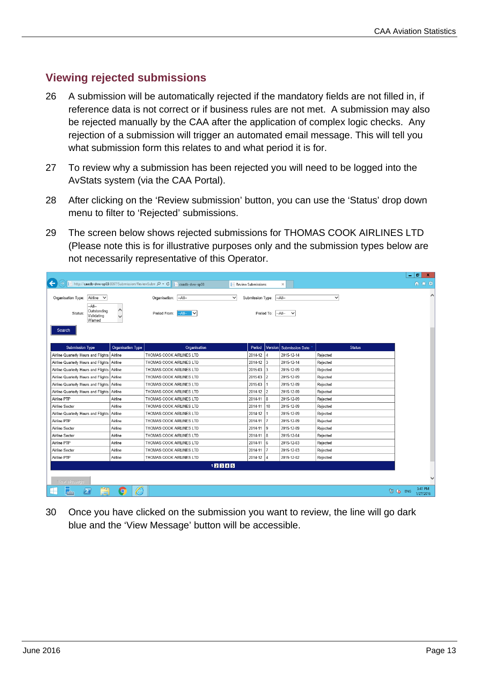#### **Viewing rejected submissions**

- 26 A submission will be automatically rejected if the mandatory fields are not filled in, if reference data is not correct or if business rules are not met. A submission may also be rejected manually by the CAA after the application of complex logic checks. Any rejection of a submission will trigger an automated email message. This will tell you what submission form this relates to and what period it is for.
- 27 To review why a submission has been rejected you will need to be logged into the AvStats system (via the CAA Portal).
- 28 After clicking on the 'Review submission' button, you can use the 'Status' drop down menu to filter to 'Rejected' submissions.
- 29 The screen below shows rejected submissions for THOMAS COOK AIRLINES LTD (Please note this is for illustrative purposes only and the submission types below are not necessarily representative of this Operator.

|                                                                                                |                          |                                  |                                          |    |                         |              |               | 니히                                      | $\mathbf{x}$ |
|------------------------------------------------------------------------------------------------|--------------------------|----------------------------------|------------------------------------------|----|-------------------------|--------------|---------------|-----------------------------------------|--------------|
| http://caadb-dvw-sp03:8097/Submission/ReviewSubm $\mathcal{Q}$ + $\mathcal{C}$<br>$\leftarrow$ |                          | caadb-dvw-sp03                   | Review Submissions                       |    | $\times$                |              |               | 命 ☆ 發                                   |              |
| Organisation Type: Airline V                                                                   |                          | Organisation: - All--            | Submission Type: - All--<br>$\checkmark$ |    |                         | $\checkmark$ |               |                                         | $\wedge$     |
| $-A$ ll--<br>Outstanding<br>Status:<br>Validating<br>Warned                                    | ∧<br>$\checkmark$        | Period From:<br>$-$ All $-$<br>M |                                          |    | Period To: -All- V      |              |               |                                         |              |
| Search                                                                                         |                          |                                  |                                          |    |                         |              |               |                                         |              |
| <b>Submission Type</b>                                                                         | <b>Organisation Type</b> | Organisation                     | Period                                   |    | Version Submission Date |              | <b>Status</b> |                                         |              |
| Airline Quarterly Hours and Flights Airline                                                    |                          | THOMAS COOK AIRLINES LTD         | $2014-12$ 4                              |    | 2015-12-14              | Rejected     |               |                                         |              |
| Airline Quarterly Hours and Flights Airline                                                    |                          | THOMAS COOK AIRLINES LTD         | $2014 - 12$ 3                            |    | 2015-12-14              | Rejected     |               |                                         |              |
| Airline Quarterly Hours and Flights Airline                                                    |                          | THOMAS COOK AIRLINES LTD         | $2015-03$ 3                              |    | 2015-12-09              | Rejected     |               |                                         |              |
| Airline Quarterly Hours and Flights Airline                                                    |                          | THOMAS COOK AIRLINES LTD         | $2015-03$ 2                              |    | 2015-12-09              | Rejected     |               |                                         |              |
| Airline Quarterly Hours and Flights Airline                                                    |                          | THOMAS COOK AIRLINES LTD         | 2015-03                                  |    | 2015-12-09              | Rejected     |               |                                         |              |
| Airline Quarterly Hours and Flights                                                            | Airline                  | THOMAS COOK AIRLINES LTD         | $2014-12$ 2                              |    | 2015-12-09              | Rejected     |               |                                         |              |
| Airline PTP                                                                                    | Airline                  | THOMAS COOK AIRLINES LTD         | $2014 - 11$ 8                            |    | 2015-12-09              | Rejected     |               |                                         |              |
| Airline Sector                                                                                 | Airline                  | THOMAS COOK AIRLINES LTD         | 2014-11                                  | 10 | 2015-12-09              | Rejected     |               |                                         |              |
| Airline Quarterly Hours and Flights                                                            | Airline                  | THOMAS COOK AIRLINES LTD         | $2014-12$ 1                              |    | 2015-12-09              | Rejected     |               |                                         |              |
| Airline PTP                                                                                    | Airline                  | THOMAS COOK AIRLINES LTD         | 2014-11 7                                |    | 2015-12-09              | Rejected     |               |                                         |              |
| Airline Sector                                                                                 | Airline                  | THOMAS COOK AIRLINES LTD         | $2014 - 11$ 9                            |    | 2015-12-09              | Rejected     |               |                                         |              |
| Airline Sector                                                                                 | Airline                  | THOMAS COOK AIRLINES LTD         | $2014 - 11$ 8                            |    | 2015-12-04              | Rejected     |               |                                         |              |
| Airline PTP                                                                                    | Airline                  | THOMAS COOK AIRLINES LTD         | $2014 - 11$ 6                            |    | 2015-12-03              | Rejected     |               |                                         |              |
| Airline Sector                                                                                 | Airline                  | THOMAS COOK AIRLINES LTD         | 2014-11 7                                |    | 2015-12-03              | Rejected     |               |                                         |              |
| Airline PTP                                                                                    | Airline                  | THOMAS COOK AIRLINES LTD         | $2014-12$ 4                              |    | 2015-12-02              | Rejected     |               |                                         |              |
|                                                                                                |                          | 12345                            |                                          |    |                         |              |               |                                         |              |
| View Message                                                                                   |                          |                                  |                                          |    |                         |              |               |                                         |              |
| ļ.<br>$\mathbf{z}$<br>╓                                                                        | e<br>$\overline{O}$      |                                  |                                          |    |                         |              |               | 5:41 PM<br><b>記 (3 ENG</b><br>1/27/2016 |              |

30 Once you have clicked on the submission you want to review, the line will go dark blue and the 'View Message' button will be accessible.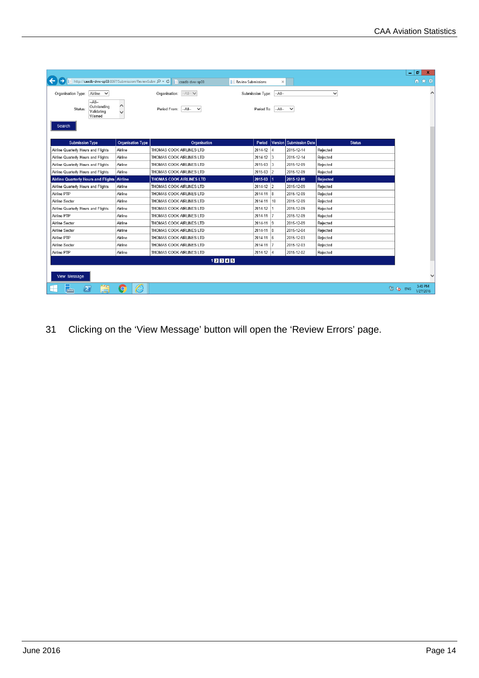|                                                               |                          |                                     |                     |                |                        |                 |               | ۰        | ø<br>$\mathbf x$     |
|---------------------------------------------------------------|--------------------------|-------------------------------------|---------------------|----------------|------------------------|-----------------|---------------|----------|----------------------|
| http://caadb-dvw-sp03:8097/Submission/ReviewSubm Q - C        |                          | caadb-dvw-sp03                      | Review Submissions  | $\times$       |                        |                 |               |          | 命 ☆ 簿                |
| Airline V<br>Organisation Type:                               |                          | $-AII - \vee$<br>Organisation:      | Submission Type:    | $-AII-$        |                        | $\checkmark$    |               |          |                      |
| $-A$ ll $-$<br>Outstanding<br>Status:<br>Validating<br>Warned | $\wedge$<br>$\checkmark$ | Period From: - All-<br>$\checkmark$ | Period To: - All- V |                |                        |                 |               |          |                      |
| Search                                                        |                          |                                     |                     |                |                        |                 |               |          |                      |
| <b>Submission Type</b>                                        | <b>Organisation Type</b> | Organisation                        | Period              | Version        | <b>Submission Date</b> |                 | <b>Status</b> |          |                      |
| Airline Quarterly Hours and Flights                           | Airline                  | THOMAS COOK AIRLINES LTD            | 2014-12             | $\overline{4}$ | 2015-12-14             | Rejected        |               |          |                      |
| Airline Quarterly Hours and Flights                           | Airline                  | THOMAS COOK AIRLINES LTD            | $2014-12$ 3         |                | 2015-12-14             | Rejected        |               |          |                      |
| Airline Quarterly Hours and Flights                           | Airline                  | THOMAS COOK AIRLINES LTD            | $2015-03$ 3         |                | 2015-12-09             | Rejected        |               |          |                      |
| Airline Quarterly Hours and Flights                           | Airline                  | THOMAS COOK AIRLINES LTD            | $2015-03$ 2         |                | 2015-12-09             | Rejected        |               |          |                      |
| Airline Quarterly Hours and Flights                           | Airline                  | <b>THOMAS COOK AIRLINES LTD</b>     | 2015-03 1           |                | 2015-12-09             | <b>Rejected</b> |               |          |                      |
| Airline Quarterly Hours and Flights                           | Airline                  | THOMAS COOK AIRLINES LTD            | $2014-12$ 2         |                | 2015-12-09             | Rejected        |               |          |                      |
| Airline PTP                                                   | Airline                  | THOMAS COOK AIRLINES LTD            | $2014 - 11$ 8       |                | 2015-12-09             | Rejected        |               |          |                      |
| Airline Sector                                                | Airline                  | THOMAS COOK AIRLINES LTD            | 2014-11             | 10             | 2015-12-09             | Rejected        |               |          |                      |
| Airline Quarterly Hours and Flights                           | Airline                  | THOMAS COOK AIRLINES LTD            | 2014-12             | $\mathbf{1}$   | 2015-12-09             | Rejected        |               |          |                      |
| Airline PTP                                                   | Airline                  | THOMAS COOK AIRLINES LTD            | 2014-11 7           |                | 2015-12-09             | Rejected        |               |          |                      |
| Airline Sector                                                | Airline                  | THOMAS COOK AIRLINES LTD            | $2014 - 11$ 9       |                | 2015-12-09             | Rejected        |               |          |                      |
| Airline Sector                                                | Airline                  | THOMAS COOK AIRLINES LTD            | $2014 - 11$ 8       |                | 2015-12-04             | Rejected        |               |          |                      |
| Airline PTP                                                   | Airline                  | THOMAS COOK AIRLINES LTD            | 2014-11             | 6              | 2015-12-03             | Rejected        |               |          |                      |
| Airline Sector                                                | Airline                  | THOMAS COOK AIRLINES LTD            | 2014-11             |                | 2015-12-03             | Rejected        |               |          |                      |
| Airline PTP                                                   | Airline                  | THOMAS COOK AIRLINES LTD            | 2014-12 4           |                | 2015-12-02             | Rejected        |               |          |                      |
|                                                               |                          | 12345                               |                     |                |                        |                 |               |          |                      |
| View Message                                                  |                          |                                     |                     |                |                        |                 |               |          |                      |
| $\mathbf{z}$                                                  |                          |                                     |                     |                |                        |                 |               | 图 (g ENG | 5:45 PM<br>1/27/2016 |

31 Clicking on the 'View Message' button will open the 'Review Errors' page.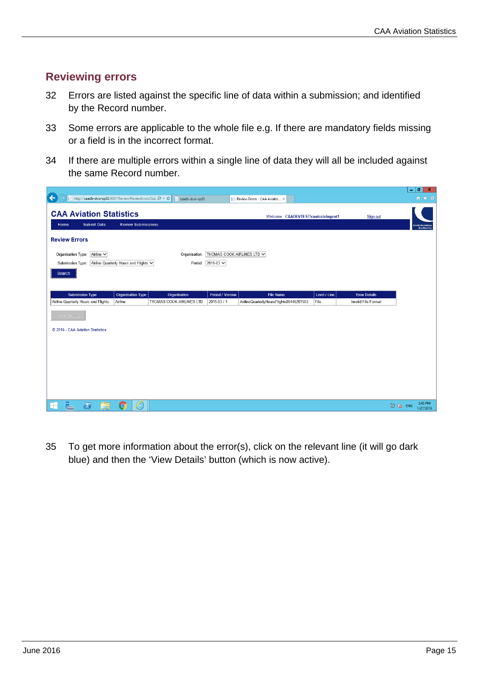#### **Reviewing errors**

- 32 Errors are listed against the specific line of data within a submission; and identified by the Record number.
- 33 Some errors are applicable to the whole file e.g. If there are mandatory fields missing or a field is in the incorrect format.
- 34 If there are multiple errors within a single line of data they will all be included against the same Record number.

| http://caadb-dvw-sp03:8097/Review/ReviewErrors?Sut Q + C<br>← |                                       | caadb-dvw-sp03           | 巨                          | Review Errors - CAA Aviatio X           |              |                      |          | $ \sigma$ $x$<br>合大袋                      |
|---------------------------------------------------------------|---------------------------------------|--------------------------|----------------------------|-----------------------------------------|--------------|----------------------|----------|-------------------------------------------|
| <b>CAA Aviation Statistics</b>                                |                                       |                          |                            | Welcome: CAADEVTEST\caatrainingext1     |              | Sign out             |          |                                           |
| <b>Submit Data</b><br>Home                                    | <b>Review Submissions</b>             |                          |                            |                                         |              |                      |          | <b>Civil Aviation</b><br><b>Authority</b> |
| <b>Review Errors</b>                                          |                                       |                          |                            |                                         |              |                      |          |                                           |
| Organisation Type:<br>Airline V                               |                                       | Organisation:            | THOMAS COOK AIRLINES LTD V |                                         |              |                      |          |                                           |
| Submission Type:                                              | Airline Quarterly Hours and Flights V |                          | Period: 2015-03 V          |                                         |              |                      |          |                                           |
| Search                                                        |                                       |                          |                            |                                         |              |                      |          |                                           |
|                                                               |                                       |                          |                            |                                         |              |                      |          |                                           |
| <b>Submission Type</b>                                        | <b>Organisation Type</b>              | Organisation             | Period / Version           | <b>File Name</b>                        | Level / Line | <b>Error Details</b> |          |                                           |
| Airline Quarterly Hours and Flights                           | Airline                               | THOMAS COOK AIRLINES LTD | 2015-03 / 1                | AirlineQuarterlyHoursFlights00446201503 | File         | Invalid File Format  |          |                                           |
| <b>View Details</b>                                           |                                       |                          |                            |                                         |              |                      |          |                                           |
| © 2016 - CAA Aviation Statistics                              |                                       |                          |                            |                                         |              |                      |          |                                           |
|                                                               |                                       |                          |                            |                                         |              |                      |          |                                           |
|                                                               |                                       |                          |                            |                                         |              |                      |          |                                           |
|                                                               |                                       |                          |                            |                                         |              |                      |          |                                           |
|                                                               |                                       |                          |                            |                                         |              |                      |          |                                           |
|                                                               |                                       |                          |                            |                                         |              |                      |          |                                           |
|                                                               |                                       |                          |                            |                                         |              |                      |          |                                           |
| $\blacktriangleright$<br>╔╧┑                                  | ê<br>$\overline{C}$                   |                          |                            |                                         |              |                      | 图 (b ENG | 5:45 PM<br>1/27/2016                      |

35 To get more information about the error(s), click on the relevant line (it will go dark blue) and then the 'View Details' button (which is now active).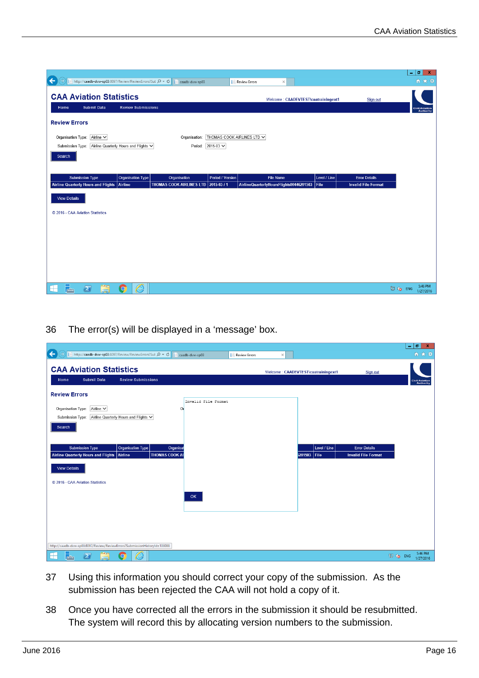|                                                                                           |                                 |                                                        |                                     |                            | IФ<br>$\mathbf x$<br>÷                    |
|-------------------------------------------------------------------------------------------|---------------------------------|--------------------------------------------------------|-------------------------------------|----------------------------|-------------------------------------------|
| ←<br>http://caadb-dvw-sp03:8097/Review/ReviewErrors?Suk Q - C                             | caadb-dvw-sp03                  | Review Errors                                          | $\times$                            |                            | 合大学                                       |
| <b>CAA Aviation Statistics</b><br><b>Submit Data</b><br>Home                              | <b>Review Submissions</b>       |                                                        | Welcome: CAADEVTEST\caatrainingext1 | Sign out                   |                                           |
|                                                                                           |                                 |                                                        |                                     |                            | <b>Civil Aviation</b><br><b>Authority</b> |
| <b>Review Errors</b>                                                                      |                                 |                                                        |                                     |                            |                                           |
| Organisation Type: Airline V<br>Airline Quarterly Hours and Flights V<br>Submission Type: | Organisation:                   | THOMAS COOK AIRLINES LTD V<br>Period: 2015-03 V        |                                     |                            |                                           |
| Search                                                                                    |                                 |                                                        |                                     |                            |                                           |
|                                                                                           |                                 |                                                        |                                     |                            |                                           |
| <b>Submission Type</b><br><b>Organisation Type</b>                                        | Organisation                    | Period / Version<br><b>File Name</b>                   | Level / Line                        | <b>Error Details</b>       |                                           |
|                                                                                           |                                 |                                                        |                                     |                            |                                           |
| <b>Airline Quarterly Hours and Flights</b><br>Airline                                     | <b>THOMAS COOK AIRLINES LTD</b> | AirlineQuarterlyHoursFlights00446201503<br>2015-03 / 1 | File                                | <b>Invalid File Format</b> |                                           |
| <b>View Details</b>                                                                       |                                 |                                                        |                                     |                            |                                           |
|                                                                                           |                                 |                                                        |                                     |                            |                                           |
| © 2016 - CAA Aviation Statistics                                                          |                                 |                                                        |                                     |                            |                                           |
|                                                                                           |                                 |                                                        |                                     |                            |                                           |
|                                                                                           |                                 |                                                        |                                     |                            |                                           |
|                                                                                           |                                 |                                                        |                                     |                            |                                           |
|                                                                                           |                                 |                                                        |                                     |                            |                                           |
|                                                                                           |                                 |                                                        |                                     |                            |                                           |
| $\blacktriangleright$<br>$\bullet$<br>╔╧┑                                                 | ê                               |                                                        |                                     |                            | 5:46 PM<br>图 to ENG                       |

36 The error(s) will be displayed in a 'message' box.

|                                                                                                                                                      |                                                                                    | Тō<br>$\mathbf{x}$<br>٠                   |
|------------------------------------------------------------------------------------------------------------------------------------------------------|------------------------------------------------------------------------------------|-------------------------------------------|
| $\leftarrow$<br>http://caadb-dvw-sp03:8097/Review/ReviewErrors?Sut Q - C       caadb-dvw-sp03<br>Review Errors                                       | $\times$                                                                           | 命女祭                                       |
| <b>CAA Aviation Statistics</b><br><b>Submit Data</b><br><b>Review Submissions</b><br>Home                                                            | Welcome: CAADEVTEST\caatrainingext1<br>Sign out                                    | <b>Civil Aviation</b><br><b>Authority</b> |
| <b>Review Errors</b>                                                                                                                                 |                                                                                    |                                           |
| Invalid File Format<br>Airline $\vee$<br>Organisation Type:<br>$\overline{O}$<br>Airline Quarterly Hours and Flights V<br>Submission Type:<br>Search |                                                                                    |                                           |
| <b>Submission Type</b><br><b>Organisation Type</b><br>Organisat<br>Airline Quarterly Hours and Flights Airline<br><b>THOMAS COOK AI</b>              | Level / Line<br><b>Error Details</b><br>3201503 File<br><b>Invalid File Format</b> |                                           |
| <b>View Details</b><br>C 2016 - CAA Aviation Statistics                                                                                              |                                                                                    |                                           |
| OK                                                                                                                                                   |                                                                                    |                                           |
|                                                                                                                                                      |                                                                                    |                                           |
| http://caadb-dvw-sp03:8097/Review/ReviewErrors?SubmissionHistoryId=103088                                                                            |                                                                                    |                                           |
| ╠┻┑<br>à<br>e<br>$\sum$<br>⊞<br>$\mathbf{\Omega}$                                                                                                    |                                                                                    | 5:46 PM<br>图 (g ENG<br>1/27/2016          |

- 37 Using this information you should correct your copy of the submission. As the submission has been rejected the CAA will not hold a copy of it.
- 38 Once you have corrected all the errors in the submission it should be resubmitted. The system will record this by allocating version numbers to the submission.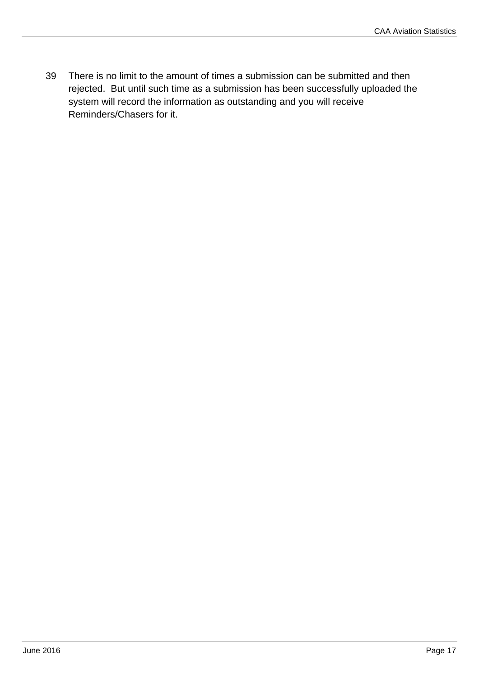39 There is no limit to the amount of times a submission can be submitted and then rejected. But until such time as a submission has been successfully uploaded the system will record the information as outstanding and you will receive Reminders/Chasers for it.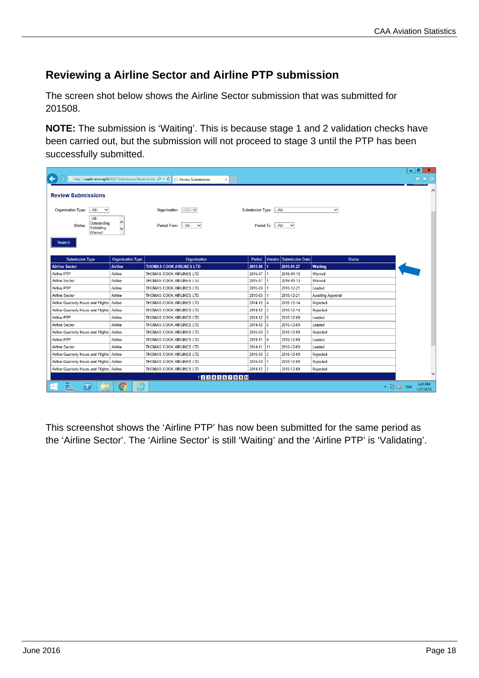## **Reviewing a Airline Sector and Airline PTP submission**

The screen shot below shows the Airline Sector submission that was submitted for 201508.

**NOTE:** The submission is 'Waiting'. This is because stage 1 and 2 validation checks have been carried out, but the submission will not proceed to stage 3 until the PTP has been successfully submitted.

|                                                             |                               |                                     |                         |                   |                         |                          | l a<br>٠   | $\mathbf{x}$         |  |
|-------------------------------------------------------------|-------------------------------|-------------------------------------|-------------------------|-------------------|-------------------------|--------------------------|------------|----------------------|--|
| http://caadb-dvw-sp03:8097/Submission/ReviewSubm Q - C      |                               | Review Submissions<br>$\times$      |                         |                   |                         |                          |            | 价★链                  |  |
| <b>Review Submissions</b>                                   |                               |                                     |                         |                   |                         |                          |            |                      |  |
| Organisation Type:<br>$-$ All $-$<br>$\checkmark$           |                               | Organisation: - All- V              | Submission Type: - All- |                   |                         | $\checkmark$             |            |                      |  |
| $-A$ ll--<br>Outstanding<br>Status:<br>Validating<br>Warned | Λ<br>$\overline{\phantom{0}}$ | Period From: - All-<br>$\checkmark$ |                         | Period To: - All- | $\checkmark$            |                          |            |                      |  |
| Search<br><b>Submission Type</b>                            | <b>Organisation Type</b>      | Organisation                        | Period                  |                   | Version Submission Date | <b>Status</b>            |            |                      |  |
| <b>Airline Sector</b>                                       | <b>Airline</b>                | <b>THOMAS COOK AIRLINES LTD</b>     | 2015-08                 |                   | 2016-01-27              | Waiting                  |            |                      |  |
| Airline PTP                                                 | Airline                       | THOMAS COOK AIRLINES LTD            | 2015-07                 |                   | 2016-01-13              | Warned                   |            |                      |  |
| Airline Sector                                              | Airline                       | <b>IHOMAS COOK AIRLINES LID</b>     | 2015-07                 |                   | 2016-01-13              | Warned                   |            |                      |  |
| Airline PTP                                                 | Airline                       | THOMAS COOK AIRLINES LTD            | 2015-03                 |                   | 2015-12-21              | Loaded                   |            |                      |  |
| Airline Sector                                              | Airline                       | THOMAS COOK AIRLINES LTD            | 2015-03                 |                   | 2015-12-21              | <b>Awaiting Approval</b> |            |                      |  |
| Airline Quarterly Hours and Flights Airline                 |                               | THOMAS COOK AIRLINES LTD            | 2014-12                 | $\Delta$          | 2015-12-14              | Rejected                 |            |                      |  |
| Airline Quarterly Hours and Flights Airline                 |                               | THOMAS COOK AIRLINES LTD            | $2014-12$ 3             |                   | 2015-12-14              | Rejected                 |            |                      |  |
| Airline PTP                                                 | Airline                       | THOMAS COOK AIRLINES LTD            | 2014-12                 | 5                 | 2015-12-09              | Loaded                   |            |                      |  |
| Airline Sector                                              | Airline                       | THOMAS COOK AIRLINES LTD            | $2014-12$ 6             |                   | 2015-12-09              | Loaded                   |            |                      |  |
| Airline Quarterly Hours and Flights                         | Airline                       | THOMAS COOK AIRLINES LTD            | 2015-03                 | 3                 | 2015-12-09              | Rejected                 |            |                      |  |
| Airline PTP                                                 | Airline                       | THOMAS COOK AIRLINES LTD            | $2014 - 11$ 9           |                   | 2015-12-09              | Loaded                   |            |                      |  |
| Airline Sector                                              | Airline                       | THOMAS COOK AIRLINES LTD            | 2014-11 11              |                   | 2015-12-09              | Loaded                   |            |                      |  |
| Airline Quarterly Hours and Flights Airline                 |                               | THOMAS COOK AIRLINES LTD            | 2015-03                 | $\overline{2}$    | 2015-12-09              | Rejected                 |            |                      |  |
| Airline Quarterly Hours and Flights Airline                 |                               | THOMAS COOK AIRLINES LTD            | 2015-03                 |                   | 2015-12-09              | Rejected                 |            |                      |  |
| Airline Quarterly Hours and Flights Airline                 |                               | THOMAS COOK AIRLINES LTD            | $2014-12$ 2             |                   | 2015-12-09              | Rejected                 |            |                      |  |
|                                                             |                               | 12345678910                         |                         |                   |                         |                          |            |                      |  |
| $\left  \boldsymbol{z} \right $                             | e<br>$\bullet$                |                                     |                         |                   |                         |                          | ▲ 图 to ENG | 6:41 PM<br>1/27/2016 |  |

This screenshot shows the 'Airline PTP' has now been submitted for the same period as the 'Airline Sector'. The 'Airline Sector' is still 'Waiting' and the 'Airline PTP' is 'Validating'.